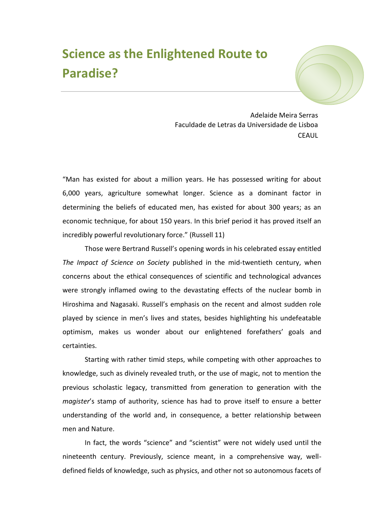## **Science as the Enlightened Route to Paradise?**



Adelaide Meira Serras Faculdade de Letras da Universidade de Lisboa **CEAUL** 

"Man has existed for about a million years. He has possessed writing for about 6,000 years, agriculture somewhat longer. Science as a dominant factor in determining the beliefs of educated men, has existed for about 300 years; as an economic technique, for about 150 years. In this brief period it has proved itself an incredibly powerful revolutionary force." (Russell 11)

Those were Bertrand Russell's opening words in his celebrated essay entitled *The Impact of Science on Society* published in the mid-twentieth century, when concerns about the ethical consequences of scientific and technological advances were strongly inflamed owing to the devastating effects of the nuclear bomb in Hiroshima and Nagasaki. Russell's emphasis on the recent and almost sudden role played by science in men's lives and states, besides highlighting his undefeatable optimism, makes us wonder about our enlightened forefathers' goals and certainties.

Starting with rather timid steps, while competing with other approaches to knowledge, such as divinely revealed truth, or the use of magic, not to mention the previous scholastic legacy, transmitted from generation to generation with the *magister*'s stamp of authority, science has had to prove itself to ensure a better understanding of the world and, in consequence, a better relationship between men and Nature.

In fact, the words "science" and "scientist" were not widely used until the nineteenth century. Previously, science meant, in a comprehensive way, welldefined fields of knowledge, such as physics, and other not so autonomous facets of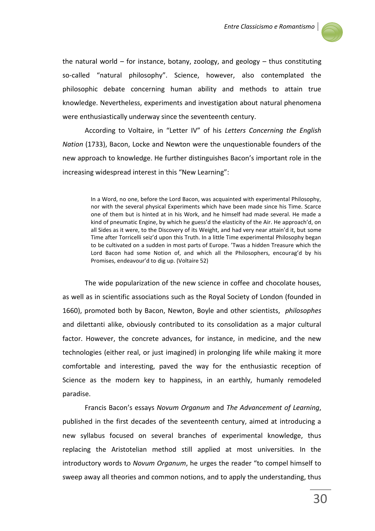

the natural world – for instance, botany, zoology, and geology – thus constituting so-called "natural philosophy". Science, however, also contemplated the philosophic debate concerning human ability and methods to attain true knowledge. Nevertheless, experiments and investigation about natural phenomena were enthusiastically underway since the seventeenth century.

According to Voltaire, in "Letter IV" of his *Letters Concerning the English Nation* (1733), Bacon, Locke and Newton were the unquestionable founders of the new approach to knowledge. He further distinguishes Bacon's important role in the increasing widespread interest in this "New Learning":

> In a Word, no one, before the Lord Bacon, was acquainted with experimental Philosophy, nor with the several physical Experiments which have been made since his Time. Scarce one of them but is hinted at in his Work, and he himself had made several. He made a kind of pneumatic Engine, by which he guess'd the elasticity of the Air. He approach'd, on all Sides as it were, to the Discovery of its Weight, and had very near attain'd it, but some Time after Torricelli seiz'd upon this Truth. In a little Time experimental Philosophy began to be cultivated on a sudden in most parts of Europe. 'Twas a hidden Treasure which the Lord Bacon had some Notion of, and which all the Philosophers, encourag'd by his Promises, endeavour'd to dig up. (Voltaire 52)

The wide popularization of the new science in coffee and chocolate houses, as well as in scientific associations such as the Royal Society of London (founded in 1660), promoted both by Bacon, Newton, Boyle and other scientists, *philosophes* and dilettanti alike, obviously contributed to its consolidation as a major cultural factor. However, the concrete advances, for instance, in medicine, and the new technologies (either real, or just imagined) in prolonging life while making it more comfortable and interesting, paved the way for the enthusiastic reception of Science as the modern key to happiness, in an earthly, humanly remodeled paradise.

Francis Bacon's essays *Novum Organum* and *The Advancement of Learning*, published in the first decades of the seventeenth century, aimed at introducing a new syllabus focused on several branches of experimental knowledge, thus replacing the Aristotelian method still applied at most universities. In the introductory words to *Novum Organum*, he urges the reader "to compel himself to sweep away all theories and common notions, and to apply the understanding, thus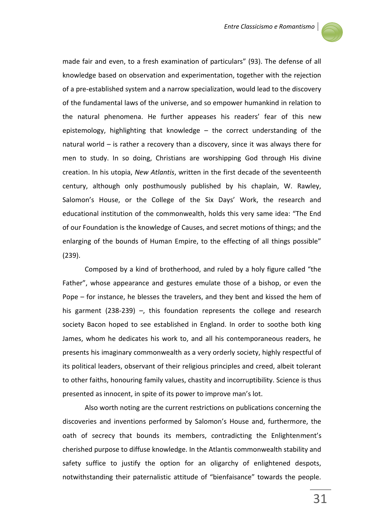

made fair and even, to a fresh examination of particulars" (93). The defense of all knowledge based on observation and experimentation, together with the rejection of a pre-established system and a narrow specialization, would lead to the discovery of the fundamental laws of the universe, and so empower humankind in relation to the natural phenomena. He further appeases his readers' fear of this new epistemology, highlighting that knowledge – the correct understanding of the natural world – is rather a recovery than a discovery, since it was always there for men to study. In so doing, Christians are worshipping God through His divine creation. In his utopia, *New Atlantis*, written in the first decade of the seventeenth century, although only posthumously published by his chaplain, W. Rawley, Salomon's House, or the College of the Six Days' Work, the research and educational institution of the commonwealth, holds this very same idea: "The End of our Foundation is the knowledge of Causes, and secret motions of things; and the enlarging of the bounds of Human Empire, to the effecting of all things possible" (239).

Composed by a kind of brotherhood, and ruled by a holy figure called "the Father", whose appearance and gestures emulate those of a bishop, or even the Pope – for instance, he blesses the travelers, and they bent and kissed the hem of his garment (238-239) –, this foundation represents the college and research society Bacon hoped to see established in England. In order to soothe both king James, whom he dedicates his work to, and all his contemporaneous readers, he presents his imaginary commonwealth as a very orderly society, highly respectful of its political leaders, observant of their religious principles and creed, albeit tolerant to other faiths, honouring family values, chastity and incorruptibility. Science is thus presented as innocent, in spite of its power to improve man's lot.

Also worth noting are the current restrictions on publications concerning the discoveries and inventions performed by Salomon's House and, furthermore, the oath of secrecy that bounds its members, contradicting the Enlightenment's cherished purpose to diffuse knowledge. In the Atlantis commonwealth stability and safety suffice to justify the option for an oligarchy of enlightened despots, notwithstanding their paternalistic attitude of "bienfaisance" towards the people.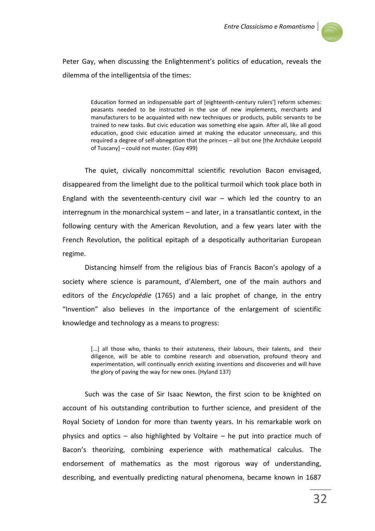

Peter Gay, when discussing the Enlightenment's politics of education, reveals the dilemma of the intelligentsia of the times:

> Education formed an indispensable part of [eighteenth-century rulers'] reform schemes: peasants needed to be instructed in the use of new implements, merchants and manufacturers to be acquainted with new techniques or products, public servants to be trained to new tasks. But civic education was something else again. After all, like all good education, good civic education aimed at making the educator unnecessary, and this required a degree of self-abnegation that the princes – all but one [the Archduke Leopold of Tuscany] – could not muster. (Gay 499)

The quiet, civically noncommittal scientific revolution Bacon envisaged, disappeared from the limelight due to the political turmoil which took place both in England with the seventeenth-century civil war – which led the country to an interregnum in the monarchical system – and later, in a transatlantic context, in the following century with the American Revolution, and a few years later with the French Revolution, the political epitaph of a despotically authoritarian European regime.

Distancing himself from the religious bias of Francis Bacon's apology of a society where science is paramount, d'Alembert, one of the main authors and editors of the *Encyclopédie* (1765) and a laic prophet of change, in the entry "Invention" also believes in the importance of the enlargement of scientific knowledge and technology as a means to progress:

> [...] all those who, thanks to their astuteness, their labours, their talents, and their diligence, will be able to combine research and observation, profound theory and experimentation, will continually enrich existing inventions and discoveries and will have the glory of paving the way for new ones. (Hyland 137)

Such was the case of Sir Isaac Newton, the first scion to be knighted on account of his outstanding contribution to further science, and president of the Royal Society of London for more than twenty years. In his remarkable work on physics and optics – also highlighted by Voltaire – he put into practice much of Bacon's theorizing, combining experience with mathematical calculus. The endorsement of mathematics as the most rigorous way of understanding, describing, and eventually predicting natural phenomena, became known in 1687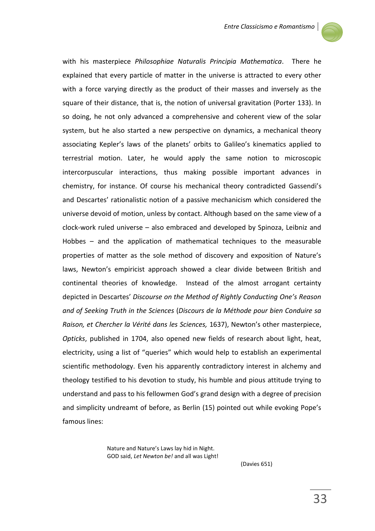

with his masterpiece *Philosophiae Naturalis Principia Mathematica*. There he explained that every particle of matter in the universe is attracted to every other with a force varying directly as the product of their masses and inversely as the square of their distance, that is, the notion of universal gravitation (Porter 133). In so doing, he not only advanced a comprehensive and coherent view of the solar system, but he also started a new perspective on dynamics, a mechanical theory associating Kepler's laws of the planets' orbits to Galileo's kinematics applied to terrestrial motion. Later, he would apply the same notion to microscopic intercorpuscular interactions, thus making possible important advances in chemistry, for instance. Of course his mechanical theory contradicted Gassendi's and Descartes' rationalistic notion of a passive mechanicism which considered the universe devoid of motion, unless by contact. Although based on the same view of a clock-work ruled universe – also embraced and developed by Spinoza, Leibniz and Hobbes – and the application of mathematical techniques to the measurable properties of matter as the sole method of discovery and exposition of Nature's laws, Newton's empiricist approach showed a clear divide between British and continental theories of knowledge. Instead of the almost arrogant certainty depicted in Descartes' *Discourse on the Method of Rightly Conducting One's Reason and of Seeking Truth in the Sciences* (*Discours de la Méthode pour bien Conduire sa Raison, et Chercher la Vérité dans les Sciences,* 1637), Newton's other masterpiece, *Opticks*, published in 1704, also opened new fields of research about light, heat, electricity, using a list of "queries" which would help to establish an experimental scientific methodology. Even his apparently contradictory interest in alchemy and theology testified to his devotion to study, his humble and pious attitude trying to understand and pass to his fellowmen God's grand design with a degree of precision and simplicity undreamt of before, as Berlin (15) pointed out while evoking Pope's famous lines:

> Nature and Nature's Laws lay hid in Night. GOD said, *Let Newton be!* and all was Light!

> > (Davies 651)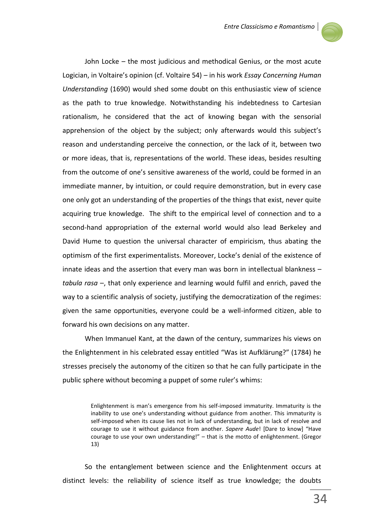

John Locke – the most judicious and methodical Genius, or the most acute Logician, in Voltaire's opinion (cf. Voltaire 54) – in his work *Essay Concerning Human Understanding* (1690) would shed some doubt on this enthusiastic view of science as the path to true knowledge. Notwithstanding his indebtedness to Cartesian rationalism, he considered that the act of knowing began with the sensorial apprehension of the object by the subject; only afterwards would this subject's reason and understanding perceive the connection, or the lack of it, between two or more ideas, that is, representations of the world. These ideas, besides resulting from the outcome of one's sensitive awareness of the world, could be formed in an immediate manner, by intuition, or could require demonstration, but in every case one only got an understanding of the properties of the things that exist, never quite acquiring true knowledge. The shift to the empirical level of connection and to a second-hand appropriation of the external world would also lead Berkeley and David Hume to question the universal character of empiricism, thus abating the optimism of the first experimentalists. Moreover, Locke's denial of the existence of innate ideas and the assertion that every man was born in intellectual blankness – *tabula rasa* –, that only experience and learning would fulfil and enrich, paved the way to a scientific analysis of society, justifying the democratization of the regimes: given the same opportunities, everyone could be a well-informed citizen, able to forward his own decisions on any matter.

When Immanuel Kant, at the dawn of the century, summarizes his views on the Enlightenment in his celebrated essay entitled "Was ist Aufklärung?" (1784) he stresses precisely the autonomy of the citizen so that he can fully participate in the public sphere without becoming a puppet of some ruler's whims:

> Enlightenment is man's emergence from his self-imposed immaturity. Immaturity is the inability to use one's understanding without guidance from another. This immaturity is self-imposed when its cause lies not in lack of understanding, but in lack of resolve and courage to use it without guidance from another. *Sapere Aude*! [Dare to know] "Have courage to use your own understanding!" – that is the motto of enlightenment. (Gregor 13)

So the entanglement between science and the Enlightenment occurs at distinct levels: the reliability of science itself as true knowledge; the doubts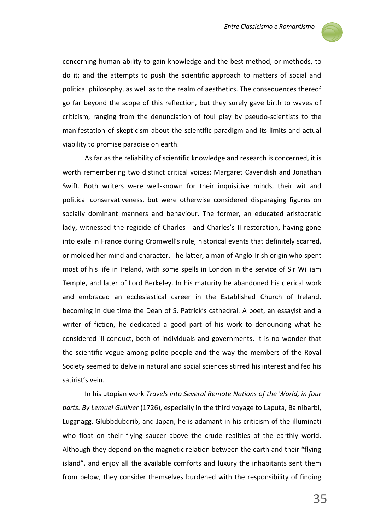

concerning human ability to gain knowledge and the best method, or methods, to do it; and the attempts to push the scientific approach to matters of social and political philosophy, as well as to the realm of aesthetics. The consequences thereof go far beyond the scope of this reflection, but they surely gave birth to waves of criticism, ranging from the denunciation of foul play by pseudo-scientists to the manifestation of skepticism about the scientific paradigm and its limits and actual viability to promise paradise on earth.

As far as the reliability of scientific knowledge and research is concerned, it is worth remembering two distinct critical voices: Margaret Cavendish and Jonathan Swift. Both writers were well-known for their inquisitive minds, their wit and political conservativeness, but were otherwise considered disparaging figures on socially dominant manners and behaviour. The former, an educated aristocratic lady, witnessed the regicide of Charles I and Charles's II restoration, having gone into exile in France during Cromwell's rule, historical events that definitely scarred, or molded her mind and character. The latter, a man of Anglo-Irish origin who spent most of his life in Ireland, with some spells in London in the service of Sir William Temple, and later of Lord Berkeley. In his maturity he abandoned his clerical work and embraced an ecclesiastical career in the Established Church of Ireland, becoming in due time the Dean of S. Patrick's cathedral. A poet, an essayist and a writer of fiction, he dedicated a good part of his work to denouncing what he considered ill-conduct, both of individuals and governments. It is no wonder that the scientific vogue among polite people and the way the members of the Royal Society seemed to delve in natural and social sciences stirred his interest and fed his satirist's vein.

In his utopian work *Travels into Several Remote Nations of the World, in four parts. By Lemuel Gulliver* (1726), especially in the third voyage to Laputa, Balnibarbi, Luggnagg, Glubbdubdrib, and Japan, he is adamant in his criticism of the illuminati who float on their flying saucer above the crude realities of the earthly world. Although they depend on the magnetic relation between the earth and their "flying island", and enjoy all the available comforts and luxury the inhabitants sent them from below, they consider themselves burdened with the responsibility of finding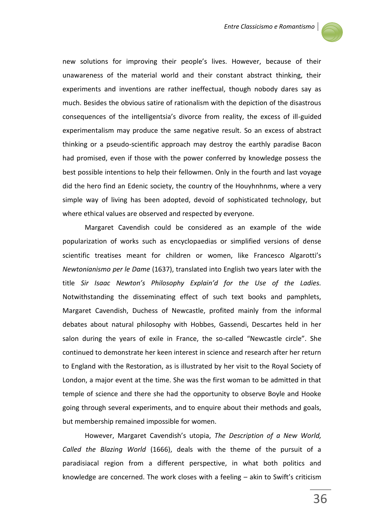

new solutions for improving their people's lives. However, because of their unawareness of the material world and their constant abstract thinking, their experiments and inventions are rather ineffectual, though nobody dares say as much. Besides the obvious satire of rationalism with the depiction of the disastrous consequences of the intelligentsia's divorce from reality, the excess of ill-guided experimentalism may produce the same negative result. So an excess of abstract thinking or a pseudo-scientific approach may destroy the earthly paradise Bacon had promised, even if those with the power conferred by knowledge possess the best possible intentions to help their fellowmen. Only in the fourth and last voyage did the hero find an Edenic society, the country of the Houyhnhnms, where a very simple way of living has been adopted, devoid of sophisticated technology, but where ethical values are observed and respected by everyone.

Margaret Cavendish could be considered as an example of the wide popularization of works such as encyclopaedias or simplified versions of dense scientific treatises meant for children or women, like Francesco Algarotti's *Newtonianismo per le Dame* (1637), translated into English two years later with the title *Sir Isaac Newton's Philosophy Explain'd for the Use of the Ladies.* Notwithstanding the disseminating effect of such text books and pamphlets, Margaret Cavendish, Duchess of Newcastle, profited mainly from the informal debates about natural philosophy with Hobbes, Gassendi, Descartes held in her salon during the years of exile in France, the so-called "Newcastle circle". She continued to demonstrate her keen interest in science and research after her return to England with the Restoration, as is illustrated by her visit to the Royal Society of London, a major event at the time. She was the first woman to be admitted in that temple of science and there she had the opportunity to observe Boyle and Hooke going through several experiments, and to enquire about their methods and goals, but membership remained impossible for women.

However, Margaret Cavendish's utopia, *The Description of a New World, Called the Blazing World* (1666), deals with the theme of the pursuit of a paradisiacal region from a different perspective, in what both politics and knowledge are concerned. The work closes with a feeling – akin to Swift's criticism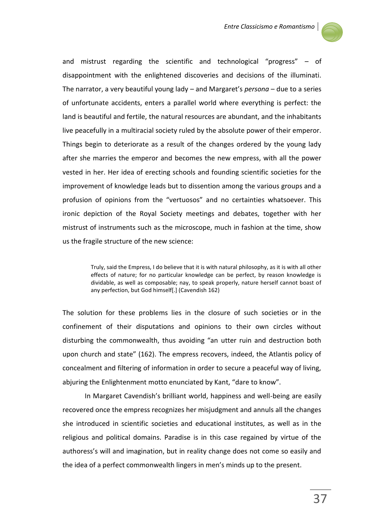

and mistrust regarding the scientific and technological "progress" – of disappointment with the enlightened discoveries and decisions of the illuminati. The narrator, a very beautiful young lady – and Margaret's *persona* – due to a series of unfortunate accidents, enters a parallel world where everything is perfect: the land is beautiful and fertile, the natural resources are abundant, and the inhabitants live peacefully in a multiracial society ruled by the absolute power of their emperor. Things begin to deteriorate as a result of the changes ordered by the young lady after she marries the emperor and becomes the new empress, with all the power vested in her. Her idea of erecting schools and founding scientific societies for the improvement of knowledge leads but to dissention among the various groups and a profusion of opinions from the "vertuosos" and no certainties whatsoever. This ironic depiction of the Royal Society meetings and debates, together with her mistrust of instruments such as the microscope, much in fashion at the time, show us the fragile structure of the new science:

> Truly, said the Empress, I do believe that it is with natural philosophy, as it is with all other effects of nature; for no particular knowledge can be perfect, by reason knowledge is dividable, as well as composable; nay, to speak properly, nature herself cannot boast of any perfection, but God himself[.] (Cavendish 162)

The solution for these problems lies in the closure of such societies or in the confinement of their disputations and opinions to their own circles without disturbing the commonwealth, thus avoiding "an utter ruin and destruction both upon church and state" (162). The empress recovers, indeed, the Atlantis policy of concealment and filtering of information in order to secure a peaceful way of living, abjuring the Enlightenment motto enunciated by Kant, "dare to know".

In Margaret Cavendish's brilliant world, happiness and well-being are easily recovered once the empress recognizes her misjudgment and annuls all the changes she introduced in scientific societies and educational institutes, as well as in the religious and political domains. Paradise is in this case regained by virtue of the authoress's will and imagination, but in reality change does not come so easily and the idea of a perfect commonwealth lingers in men's minds up to the present.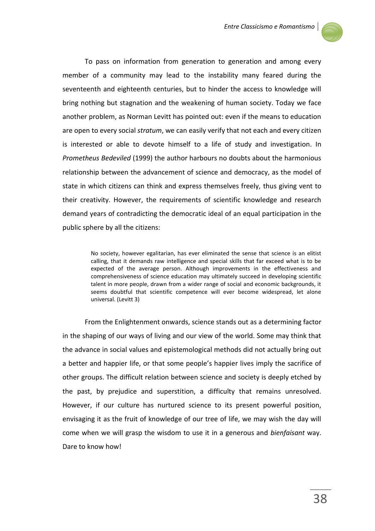

To pass on information from generation to generation and among every member of a community may lead to the instability many feared during the seventeenth and eighteenth centuries, but to hinder the access to knowledge will bring nothing but stagnation and the weakening of human society. Today we face another problem, as Norman Levitt has pointed out: even if the means to education are open to every social *stratum*, we can easily verify that not each and every citizen is interested or able to devote himself to a life of study and investigation. In *Prometheus Bedeviled* (1999) the author harbours no doubts about the harmonious relationship between the advancement of science and democracy, as the model of state in which citizens can think and express themselves freely, thus giving vent to their creativity. However, the requirements of scientific knowledge and research demand years of contradicting the democratic ideal of an equal participation in the public sphere by all the citizens:

> No society, however egalitarian, has ever eliminated the sense that science is an elitist calling, that it demands raw intelligence and special skills that far exceed what is to be expected of the average person. Although improvements in the effectiveness and comprehensiveness of science education may ultimately succeed in developing scientific talent in more people, drawn from a wider range of social and economic backgrounds, it seems doubtful that scientific competence will ever become widespread, let alone universal. (Levitt 3)

From the Enlightenment onwards, science stands out as a determining factor in the shaping of our ways of living and our view of the world. Some may think that the advance in social values and epistemological methods did not actually bring out a better and happier life, or that some people's happier lives imply the sacrifice of other groups. The difficult relation between science and society is deeply etched by the past, by prejudice and superstition, a difficulty that remains unresolved. However, if our culture has nurtured science to its present powerful position, envisaging it as the fruit of knowledge of our tree of life, we may wish the day will come when we will grasp the wisdom to use it in a generous and *bienfaisant* way. Dare to know how!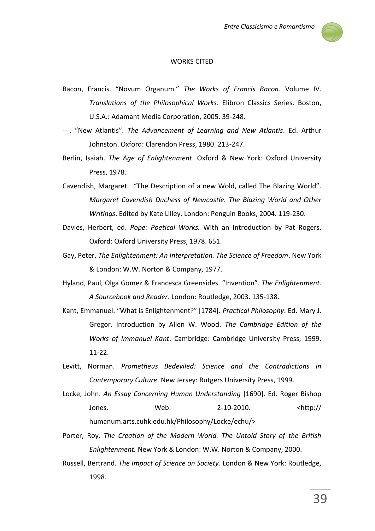

## WORKS CITED

- Bacon, Francis. "Novum Organum." *The Works of Francis Bacon*. Volume IV. *Translations of the Philosophical Works*. Elibron Classics Series. Boston, U.S.A.: Adamant Media Corporation, 2005. 39-248.
- ---. "New Atlantis". *The Advancement of Learning and New Atlantis*. Ed. Arthur Johnston. Oxford: Clarendon Press, 1980. 213-247.
- Berlin, Isaiah. *The Age of Enlightenment*. Oxford & New York: Oxford University Press, 1978.
- Cavendish, Margaret. "The Description of a new Wold, called The Blazing World". *Margaret Cavendish Duchess of Newcastle. The Blazing World and Other Writings*. Edited by Kate Lilley. London: Penguin Books, 2004. 119-230.
- Davies, Herbert, ed. *Pope: Poetical Works.* With an Introduction by Pat Rogers. Oxford: Oxford University Press, 1978. 651.
- Gay, Peter. *The Enlightenment: An Interpretation. The Science of Freedom*. New York & London: W.W. Norton & Company, 1977.
- Hyland, Paul, Olga Gomez & Francesca Greensides. "Invention". *The Enlightenment. A Sourcebook and Reader*. London: Routledge, 2003. 135-138.
- Kant, Emmanuel. "What is Enlightenment?" [1784]. *Practical Philosophy*. Ed. Mary J. Gregor. Introduction by Allen W. Wood. *The Cambridge Edition of the Works of Immanuel Kant*. Cambridge: Cambridge University Press, 1999. 11-22.
- Levitt, Norman. *Prometheus Bedeviled: Science and the Contradictions in Contemporary Culture*. New Jersey: Rutgers University Press, 1999.
- Locke, John. *An Essay Concerning Human Understanding* [1690]. Ed. Roger Bishop Jones. Web. 2-10-2010. <http:// humanum.arts.cuhk.edu.hk/Philosophy/Locke/echu/>
- Porter, Roy. *The Creation of the Modern World. The Untold Story of the British Enlightenment.* New York & London: W.W. Norton & Company, 2000.
- Russell, Bertrand. *The Impact of Science on Society*. London & New York: Routledge, 1998.